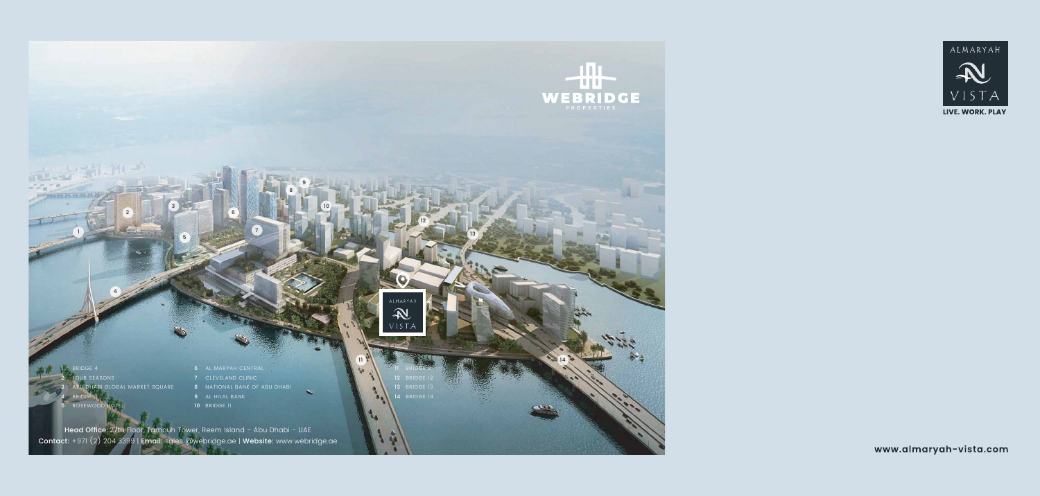BRIDGE 4 **SEASONS** 31 GLOBAL MARKET SQUARE BRIDGE 3

 AL MARYAH CENTRAL CLEVELAND CLINIC NATIONAL BANK OF ABU DHABI AL HILAL BANK

BRIDGE 11

 BRIDGE 2 BRIDGE 12 RIDGE 13 BRIDGE 14

 $\overline{\phantom{a}}$  Head Office: 27th Floor, Tamouh Tower, Reem Island - Abu Dhabi - UAE  $\overline{\phantom{a}}$ Contact: +971 (2) 204 3399 | Email: sales @webridge.ae | Website: www.webridge.ae



ALMARYAI

 $\overline{1}$ 

OSEWOC





www.almaryah-vista.com